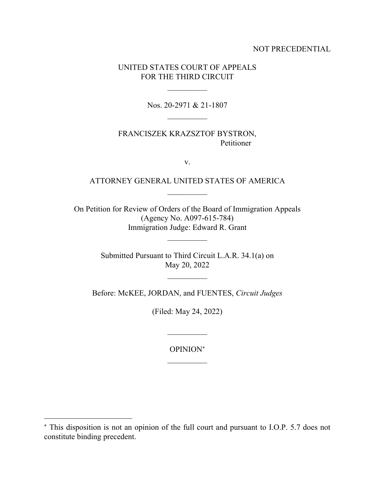## NOT PRECEDENTIAL

## UNITED STATES COURT OF APPEALS FOR THE THIRD CIRCUIT

Nos. 20-2971 & 21-1807  $\overline{\phantom{a}}$  , and the contract of the contract of the contract of the contract of the contract of the contract of the contract of the contract of the contract of the contract of the contract of the contract of the contrac

FRANCISZEK KRAZSZTOF BYSTRON, Petitioner

v.

## ATTORNEY GENERAL UNITED STATES OF AMERICA  $\mathcal{L}_\text{max}$

On Petition for Review of Orders of the Board of Immigration Appeals (Agency No. A097-615-784) Immigration Judge: Edward R. Grant

> Submitted Pursuant to Third Circuit L.A.R. 34.1(a) on May 20, 2022

> > $\mathcal{L}_\text{max}$

Before: McKEE, JORDAN, and FUENTES, *Circuit Judges*

(Filed: May 24, 2022)

OPINION  $\mathcal{L}_\text{max}$ 

 $\overline{\phantom{a}}$ 

This disposition is not an opinion of the full court and pursuant to I.O.P. 5.7 does not constitute binding precedent.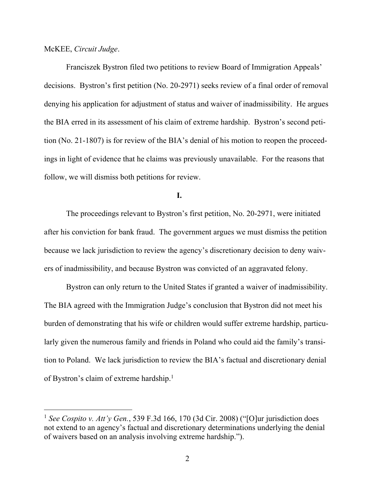McKEE, *Circuit Judge*.

Franciszek Bystron filed two petitions to review Board of Immigration Appeals' decisions. Bystron's first petition (No. 20-2971) seeks review of a final order of removal denying his application for adjustment of status and waiver of inadmissibility. He argues the BIA erred in its assessment of his claim of extreme hardship. Bystron's second petition (No. 21-1807) is for review of the BIA's denial of his motion to reopen the proceedings in light of evidence that he claims was previously unavailable. For the reasons that follow, we will dismiss both petitions for review.

**I.**

The proceedings relevant to Bystron's first petition, No. 20-2971, were initiated after his conviction for bank fraud. The government argues we must dismiss the petition because we lack jurisdiction to review the agency's discretionary decision to deny waivers of inadmissibility, and because Bystron was convicted of an aggravated felony.

Bystron can only return to the United States if granted a waiver of inadmissibility. The BIA agreed with the Immigration Judge's conclusion that Bystron did not meet his burden of demonstrating that his wife or children would suffer extreme hardship, particularly given the numerous family and friends in Poland who could aid the family's transition to Poland. We lack jurisdiction to review the BIA's factual and discretionary denial of Bystron's claim of extreme hardship.<sup>1</sup>

<sup>1</sup> *See Cospito v. Att'y Gen.*, 539 F.3d 166, 170 (3d Cir. 2008) ("[O]ur jurisdiction does not extend to an agency's factual and discretionary determinations underlying the denial of waivers based on an analysis involving extreme hardship.").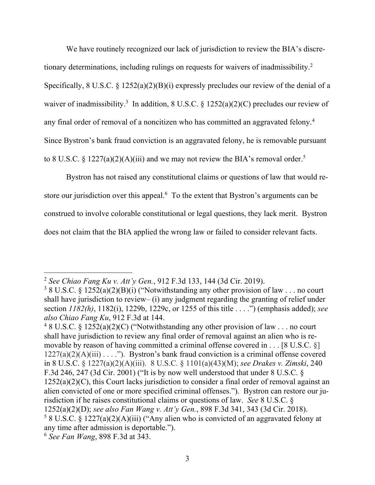We have routinely recognized our lack of jurisdiction to review the BIA's discretionary determinations, including rulings on requests for waivers of inadmissibility.<sup>2</sup> Specifically, 8 U.S.C. § 1252(a)(2)(B)(i) expressly precludes our review of the denial of a waiver of inadmissibility.<sup>3</sup> In addition, 8 U.S.C. § 1252(a)(2)(C) precludes our review of any final order of removal of a noncitizen who has committed an aggravated felony.<sup>4</sup> Since Bystron's bank fraud conviction is an aggravated felony, he is removable pursuant to 8 U.S.C. § 1227(a)(2)(A)(iii) and we may not review the BIA's removal order.<sup>5</sup>

Bystron has not raised any constitutional claims or questions of law that would restore our jurisdiction over this appeal.<sup>6</sup> To the extent that Bystron's arguments can be construed to involve colorable constitutional or legal questions, they lack merit. Bystron does not claim that the BIA applied the wrong law or failed to consider relevant facts.

<sup>2</sup> *See Chiao Fang Ku v. Att'y Gen.*, 912 F.3d 133, 144 (3d Cir. 2019).

 $38$  U.S.C. § 1252(a)(2)(B)(i) ("Notwithstanding any other provision of law . . . no court shall have jurisdiction to review– (i) any judgment regarding the granting of relief under section *1182(h)*, 1182(i), 1229b, 1229c, or 1255 of this title . . . .") (emphasis added); *see also Chiao Fang Ku*, 912 F.3d at 144.

<sup>&</sup>lt;sup>4</sup> 8 U.S.C. § 1252(a)(2)(C) ("Notwithstanding any other provision of law . . . no court shall have jurisdiction to review any final order of removal against an alien who is removable by reason of having committed a criminal offense covered in  $\dots$  [8 U.S.C. §]  $1227(a)(2)(A)(iii) \ldots$ ."). Bystron's bank fraud conviction is a criminal offense covered in 8 U.S.C. § 1227(a)(2)(A)(iii). 8 U.S.C. § 1101(a)(43)(M); *see Drakes v. Zimski*, 240 F.3d 246, 247 (3d Cir. 2001) ("It is by now well understood that under 8 U.S.C. §  $1252(a)(2)(C)$ , this Court lacks jurisdiction to consider a final order of removal against an alien convicted of one or more specified criminal offenses."). Bystron can restore our jurisdiction if he raises constitutional claims or questions of law. *See* 8 U.S.C. § 1252(a)(2)(D); *see also Fan Wang v. Att'y Gen.*, 898 F.3d 341, 343 (3d Cir. 2018). <sup>5</sup> 8 U.S.C. § 1227(a)(2)(A)(iii) ("Any alien who is convicted of an aggravated felony at any time after admission is deportable.").

<sup>6</sup> *See Fan Wang*, 898 F.3d at 343.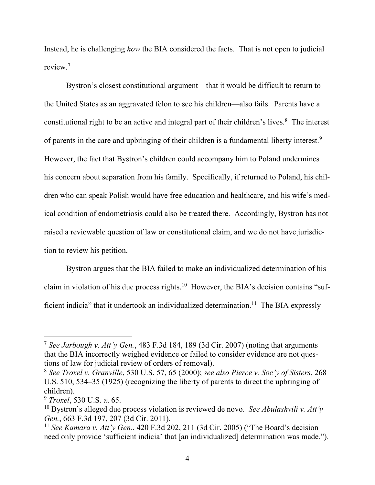Instead, he is challenging *how* the BIA considered the facts. That is not open to judicial review.<sup>7</sup>

Bystron's closest constitutional argument—that it would be difficult to return to the United States as an aggravated felon to see his children—also fails. Parents have a constitutional right to be an active and integral part of their children's lives.<sup>8</sup> The interest of parents in the care and upbringing of their children is a fundamental liberty interest.<sup>9</sup> However, the fact that Bystron's children could accompany him to Poland undermines his concern about separation from his family. Specifically, if returned to Poland, his children who can speak Polish would have free education and healthcare, and his wife's medical condition of endometriosis could also be treated there. Accordingly, Bystron has not raised a reviewable question of law or constitutional claim, and we do not have jurisdiction to review his petition.

Bystron argues that the BIA failed to make an individualized determination of his claim in violation of his due process rights.<sup>10</sup> However, the BIA's decision contains "sufficient indicia" that it undertook an individualized determination.<sup>11</sup> The BIA expressly

<sup>7</sup> *See Jarbough v. Att'y Gen.*, 483 F.3d 184, 189 (3d Cir. 2007) (noting that arguments that the BIA incorrectly weighed evidence or failed to consider evidence are not questions of law for judicial review of orders of removal).

<sup>8</sup> *See Troxel v. Granville*, 530 U.S. 57, 65 (2000); *see also Pierce v. Soc'y of Sisters*, 268 U.S. 510, 534–35 (1925) (recognizing the liberty of parents to direct the upbringing of children).

<sup>9</sup> *Troxel*, 530 U.S. at 65.

<sup>10</sup> Bystron's alleged due process violation is reviewed de novo. *See Abulashvili v. Att'y Gen.*, 663 F.3d 197, 207 (3d Cir. 2011).

<sup>11</sup> *See Kamara v. Att'y Gen.*, 420 F.3d 202, 211 (3d Cir. 2005) ("The Board's decision need only provide 'sufficient indicia' that [an individualized] determination was made.").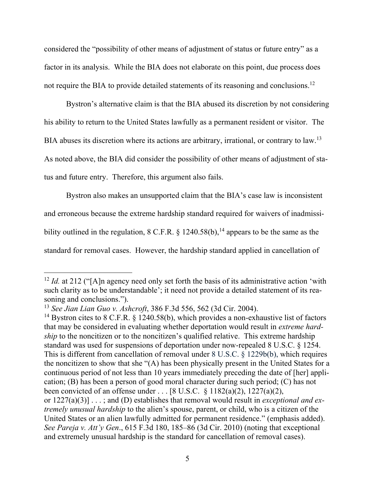considered the "possibility of other means of adjustment of status or future entry" as a factor in its analysis. While the BIA does not elaborate on this point, due process does not require the BIA to provide detailed statements of its reasoning and conclusions.<sup>12</sup>

Bystron's alternative claim is that the BIA abused its discretion by not considering his ability to return to the United States lawfully as a permanent resident or visitor. The BIA abuses its discretion where its actions are arbitrary, irrational, or contrary to law.<sup>13</sup> As noted above, the BIA did consider the possibility of other means of adjustment of status and future entry. Therefore, this argument also fails.

Bystron also makes an unsupported claim that the BIA's case law is inconsistent and erroneous because the extreme hardship standard required for waivers of inadmissibility outlined in the regulation,  $8 \text{ C.F.R.}$  § 1240.58(b),<sup>14</sup> appears to be the same as the standard for removal cases. However, the hardship standard applied in cancellation of

<sup>&</sup>lt;sup>12</sup> *Id.* at 212 ("[A]n agency need only set forth the basis of its administrative action 'with such clarity as to be understandable'; it need not provide a detailed statement of its reasoning and conclusions.").

<sup>13</sup> *See Jian Lian Guo v. Ashcroft*, 386 F.3d 556, 562 (3d Cir. 2004).

<sup>&</sup>lt;sup>14</sup> Bystron cites to 8 C.F.R.  $\S$  1240.58(b), which provides a non-exhaustive list of factors that may be considered in evaluating whether deportation would result in *extreme hardship* to the noncitizen or to the noncitizen's qualified relative. This extreme hardship standard was used for suspensions of deportation under now-repealed 8 U.S.C. § 1254. This is different from cancellation of removal under 8 U.S.C. § 1229b(b), which requires the noncitizen to show that she "(A) has been physically present in the United States for a continuous period of not less than 10 years immediately preceding the date of [her] application; (B) has been a person of good moral character during such period; (C) has not been convicted of an offense under . . . [8 U.S.C. § 1182(a)(2), 1227(a)(2), or 1227(a)(3)] . . . ; and (D) establishes that removal would result in *exceptional and extremely unusual hardship* to the alien's spouse, parent, or child, who is a citizen of the United States or an alien lawfully admitted for permanent residence." (emphasis added). *See Pareja v. Att'y Gen*., 615 F.3d 180, 185–86 (3d Cir. 2010) (noting that exceptional and extremely unusual hardship is the standard for cancellation of removal cases).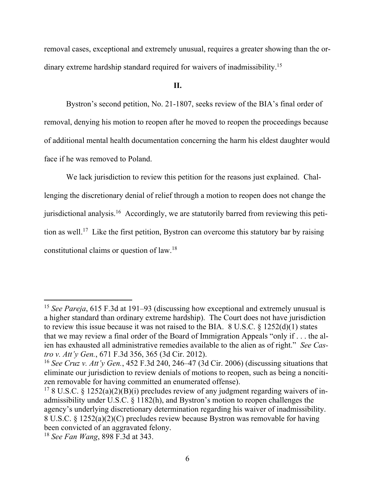removal cases, exceptional and extremely unusual, requires a greater showing than the ordinary extreme hardship standard required for waivers of inadmissibility.<sup>15</sup>

**II.**

Bystron's second petition, No. 21-1807, seeks review of the BIA's final order of removal, denying his motion to reopen after he moved to reopen the proceedings because of additional mental health documentation concerning the harm his eldest daughter would face if he was removed to Poland.

We lack jurisdiction to review this petition for the reasons just explained. Challenging the discretionary denial of relief through a motion to reopen does not change the jurisdictional analysis.<sup>16</sup> Accordingly, we are statutorily barred from reviewing this petition as well.<sup>17</sup> Like the first petition, Bystron can overcome this statutory bar by raising constitutional claims or question of law. 18

<sup>15</sup> *See Pareja*, 615 F.3d at 191–93 (discussing how exceptional and extremely unusual is a higher standard than ordinary extreme hardship). The Court does not have jurisdiction to review this issue because it was not raised to the BIA.  $8 \text{ U.S.C.} \& 1252(d)(1)$  states that we may review a final order of the Board of Immigration Appeals "only if . . . the alien has exhausted all administrative remedies available to the alien as of right." *See Castro v. Att'y Gen.*, 671 F.3d 356, 365 (3d Cir. 2012).

<sup>16</sup> *See Cruz v. Att'y Gen.*, 452 F.3d 240, 246–47 (3d Cir. 2006) (discussing situations that eliminate our jurisdiction to review denials of motions to reopen, such as being a noncitizen removable for having committed an enumerated offense).

<sup>&</sup>lt;sup>17</sup> 8 U.S.C. § 1252(a)(2)(B)(i) precludes review of any judgment regarding waivers of inadmissibility under U.S.C. § 1182(h), and Bystron's motion to reopen challenges the agency's underlying discretionary determination regarding his waiver of inadmissibility. 8 U.S.C. § 1252(a)(2)(C) precludes review because Bystron was removable for having been convicted of an aggravated felony.

<sup>18</sup> *See Fan Wang*, 898 F.3d at 343.